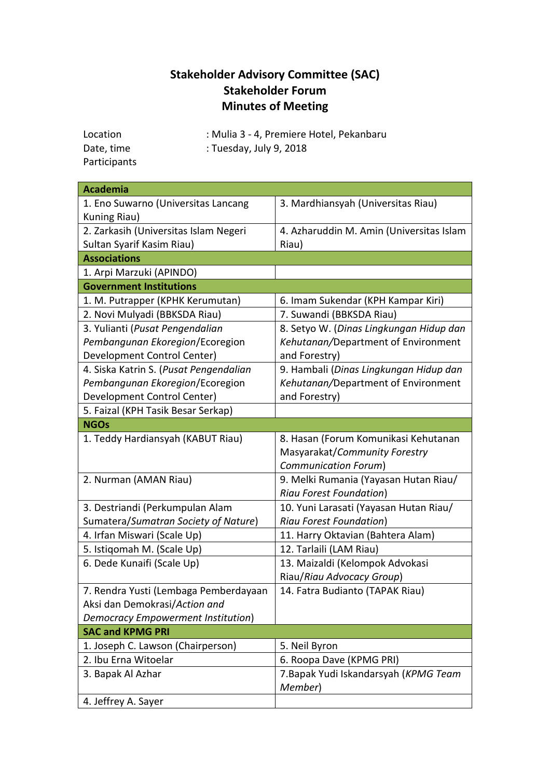# **Stakeholder Advisory Committee (SAC) Stakeholder Forum Minutes of Meeting**

| Location     | : Mulia 3 - 4, Premiere Hotel, Pekanbaru |
|--------------|------------------------------------------|
| Date, time   | : Tuesday, July 9, 2018                  |
| Participants |                                          |

**Academia**  1. Eno Suwarno (Universitas Lancang Kuning Riau) 3. Mardhiansyah (Universitas Riau) 2. Zarkasih (Universitas Islam Negeri Sultan Syarif Kasim Riau) 4. Azharuddin M. Amin (Universitas Islam Riau) **Associations** 1. Arpi Marzuki (APINDO) **Government Institutions** 1. M. Putrapper (KPHK Kerumutan) 6. Imam Sukendar (KPH Kampar Kiri) 2. Novi Mulyadi (BBKSDA Riau) 7. Suwandi (BBKSDA Riau) 3. Yulianti (*Pusat Pengendalian Pembangunan Ekoregion*/Ecoregion Development Control Center) 8. Setyo W. (*Dinas Lingkungan Hidup dan Kehutanan/*Department of Environment and Forestry) 4. Siska Katrin S. (*Pusat Pengendalian Pembangunan Ekoregion*/Ecoregion Development Control Center) 9. Hambali (*Dinas Lingkungan Hidup dan Kehutanan/*Department of Environment and Forestry) 5. Faizal (KPH Tasik Besar Serkap) **NGOs** 1. Teddy Hardiansyah (KABUT Riau) 8. Hasan (Forum Komunikasi Kehutanan Masyarakat/*Community Forestry Communication Forum*) 2. Nurman (AMAN Riau) 9. Melki Rumania (Yayasan Hutan Riau/ *Riau Forest Foundation*) 3. Destriandi (Perkumpulan Alam Sumatera/*Sumatran Society of Nature*) 10. Yuni Larasati (Yayasan Hutan Riau/ *Riau Forest Foundation*) 4. Irfan Miswari (Scale Up) 11. Harry Oktavian (Bahtera Alam) 5. Istiqomah M. (Scale Up) 12. Tarlaili (LAM Riau) 6. Dede Kunaifi (Scale Up) 13. Maizaldi (Kelompok Advokasi Riau/*Riau Advocacy Group*) 7. Rendra Yusti (Lembaga Pemberdayaan Aksi dan Demokrasi/*Action and Democracy Empowerment Institution*) 14. Fatra Budianto (TAPAK Riau) **SAC and KPMG PRI** 1. Joseph C. Lawson (Chairperson) 5. Neil Byron 2. Ibu Erna Witoelar **6. Roopa Dave (KPMG PRI)** 3. Bapak Al Azhar 7.Bapak Yudi Iskandarsyah (*KPMG Team Member*) 4. Jeffrey A. Sayer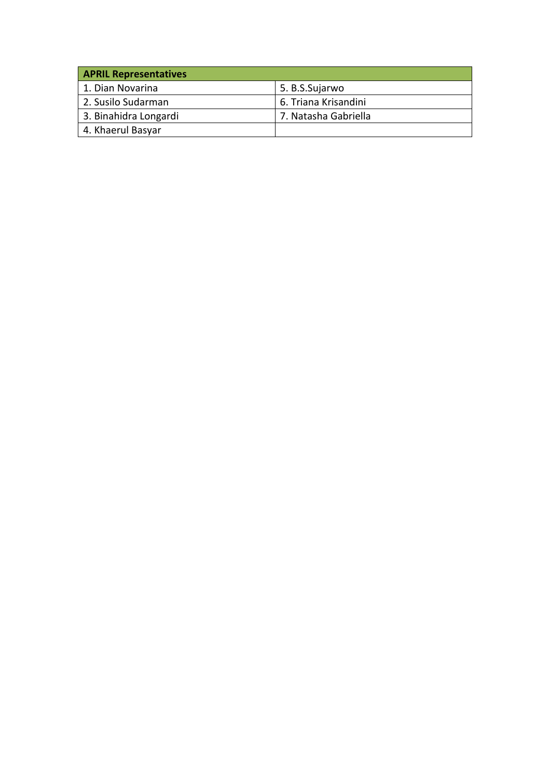| <b>APRIL Representatives</b> |                      |
|------------------------------|----------------------|
| 1. Dian Novarina             | 5. B.S.Sujarwo       |
| 2. Susilo Sudarman           | 6. Triana Krisandini |
| 3. Binahidra Longardi        | 7. Natasha Gabriella |
| 4. Khaerul Basyar            |                      |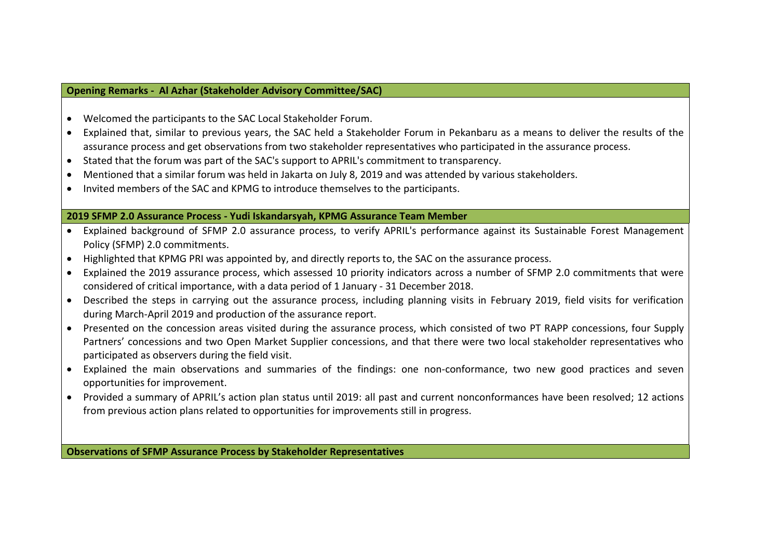#### **Opening Remarks - Al Azhar (Stakeholder Advisory Committee/SAC)**

- Welcomed the participants to the SAC Local Stakeholder Forum.
- Explained that, similar to previous years, the SAC held a Stakeholder Forum in Pekanbaru as a means to deliver the results of the assurance process and get observations from two stakeholder representatives who participated in the assurance process.
- Stated that the forum was part of the SAC's support to APRIL's commitment to transparency.
- Mentioned that a similar forum was held in Jakarta on July 8, 2019 and was attended by various stakeholders.
- Invited members of the SAC and KPMG to introduce themselves to the participants.

#### **2019 SFMP 2.0 Assurance Process - Yudi Iskandarsyah, KPMG Assurance Team Member**

- Explained background of SFMP 2.0 assurance process, to verify APRIL's performance against its Sustainable Forest Management Policy (SFMP) 2.0 commitments.
- Highlighted that KPMG PRI was appointed by, and directly reports to, the SAC on the assurance process.
- Explained the 2019 assurance process, which assessed 10 priority indicators across a number of SFMP 2.0 commitments that were considered of critical importance, with a data period of 1 January - 31 December 2018.
- Described the steps in carrying out the assurance process, including planning visits in February 2019, field visits for verification during March-April 2019 and production of the assurance report.
- Presented on the concession areas visited during the assurance process, which consisted of two PT RAPP concessions, four Supply Partners' concessions and two Open Market Supplier concessions, and that there were two local stakeholder representatives who participated as observers during the field visit.
- Explained the main observations and summaries of the findings: one non-conformance, two new good practices and seven opportunities for improvement.
- Provided a summary of APRIL's action plan status until 2019: all past and current nonconformances have been resolved; 12 actions from previous action plans related to opportunities for improvements still in progress.

**Observations of SFMP Assurance Process by Stakeholder Representatives**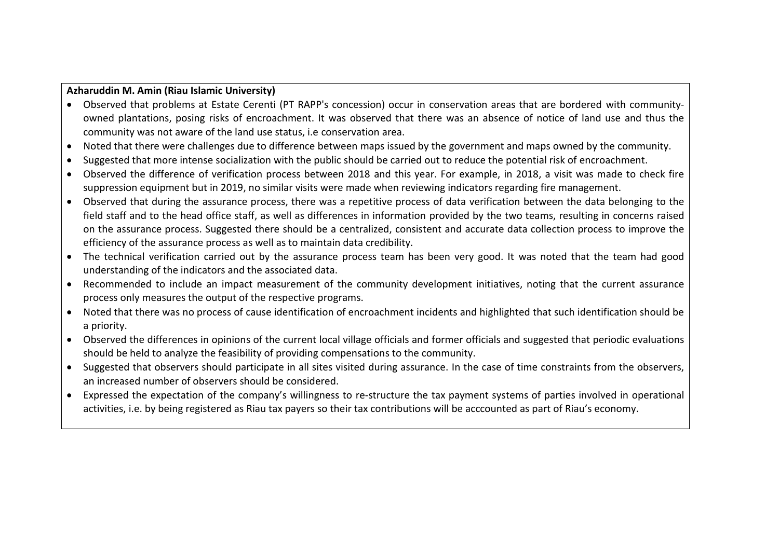#### **Azharuddin M. Amin (Riau Islamic University)**

- Observed that problems at Estate Cerenti (PT RAPP's concession) occur in conservation areas that are bordered with communityowned plantations, posing risks of encroachment. It was observed that there was an absence of notice of land use and thus the community was not aware of the land use status, i.e conservation area.
- Noted that there were challenges due to difference between maps issued by the government and maps owned by the community.
- Suggested that more intense socialization with the public should be carried out to reduce the potential risk of encroachment.
- Observed the difference of verification process between 2018 and this year. For example, in 2018, a visit was made to check fire suppression equipment but in 2019, no similar visits were made when reviewing indicators regarding fire management.
- Observed that during the assurance process, there was a repetitive process of data verification between the data belonging to the field staff and to the head office staff, as well as differences in information provided by the two teams, resulting in concerns raised on the assurance process. Suggested there should be a centralized, consistent and accurate data collection process to improve the efficiency of the assurance process as well as to maintain data credibility.
- The technical verification carried out by the assurance process team has been very good. It was noted that the team had good understanding of the indicators and the associated data.
- Recommended to include an impact measurement of the community development initiatives, noting that the current assurance process only measures the output of the respective programs.
- Noted that there was no process of cause identification of encroachment incidents and highlighted that such identification should be a priority.
- Observed the differences in opinions of the current local village officials and former officials and suggested that periodic evaluations should be held to analyze the feasibility of providing compensations to the community.
- Suggested that observers should participate in all sites visited during assurance. In the case of time constraints from the observers, an increased number of observers should be considered.
- Expressed the expectation of the company's willingness to re-structure the tax payment systems of parties involved in operational activities, i.e. by being registered as Riau tax payers so their tax contributions will be acccounted as part of Riau's economy.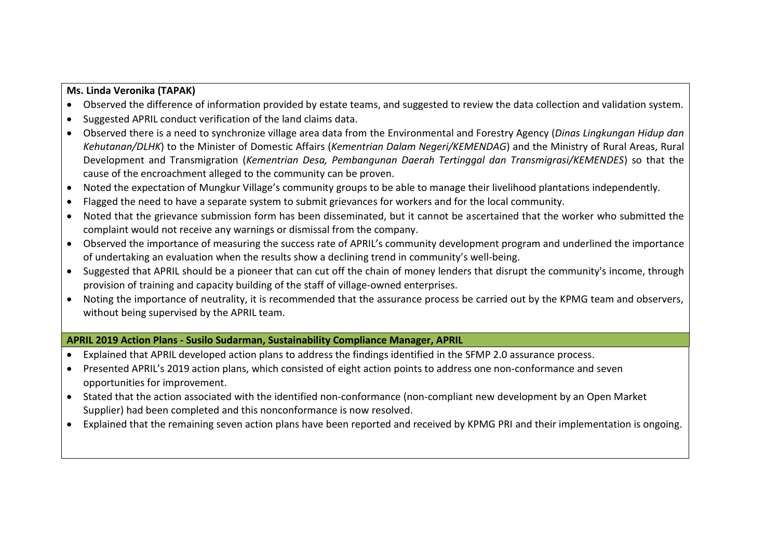#### **Ms. Linda Veronika (TAPAK)**

- Observed the difference of information provided by estate teams, and suggested to review the data collection and validation system.
- Suggested APRIL conduct verification of the land claims data.
- Observed there is a need to synchronize village area data from the Environmental and Forestry Agency (*Dinas Lingkungan Hidup dan Kehutanan/DLHK*) to the Minister of Domestic Affairs (*Kementrian Dalam Negeri/KEMENDAG*) and the Ministry of Rural Areas, Rural Development and Transmigration (*Kementrian Desa, Pembangunan Daerah Tertinggal dan Transmigrasi/KEMENDES*) so that the cause of the encroachment alleged to the community can be proven.
- Noted the expectation of Mungkur Village's community groups to be able to manage their livelihood plantations independently.
- Flagged the need to have a separate system to submit grievances for workers and for the local community.
- Noted that the grievance submission form has been disseminated, but it cannot be ascertained that the worker who submitted the complaint would not receive any warnings or dismissal from the company.
- Observed the importance of measuring the success rate of APRIL's community development program and underlined the importance of undertaking an evaluation when the results show a declining trend in community's well-being.
- Suggested that APRIL should be a pioneer that can cut off the chain of money lenders that disrupt the community's income, through provision of training and capacity building of the staff of village-owned enterprises.
- Noting the importance of neutrality, it is recommended that the assurance process be carried out by the KPMG team and observers, without being supervised by the APRIL team.

# **APRIL 2019 Action Plans - Susilo Sudarman, Sustainability Compliance Manager, APRIL**

- Explained that APRIL developed action plans to address the findings identified in the SFMP 2.0 assurance process.
- Presented APRIL's 2019 action plans, which consisted of eight action points to address one non-conformance and seven opportunities for improvement.
- Stated that the action associated with the identified non-conformance (non-compliant new development by an Open Market Supplier) had been completed and this nonconformance is now resolved.
- Explained that the remaining seven action plans have been reported and received by KPMG PRI and their implementation is ongoing.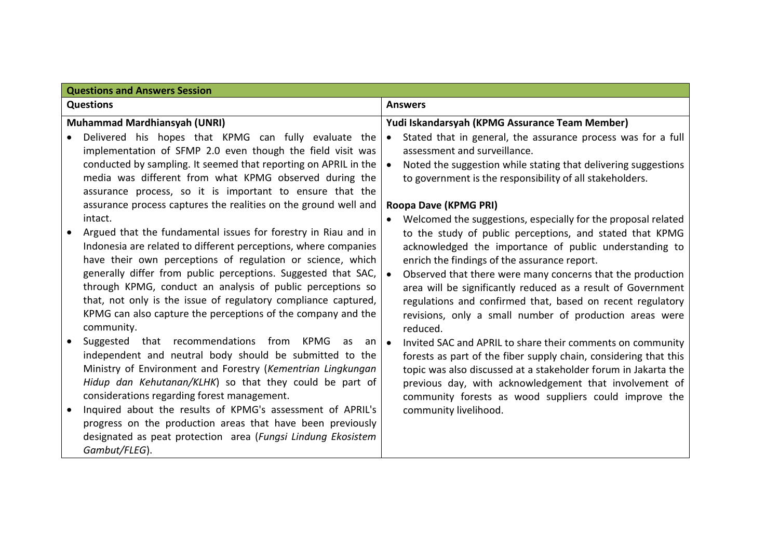| <b>Questions and Answers Session</b> |                                                                                                                             |                                                                                                                            |
|--------------------------------------|-----------------------------------------------------------------------------------------------------------------------------|----------------------------------------------------------------------------------------------------------------------------|
|                                      | <b>Questions</b>                                                                                                            | <b>Answers</b>                                                                                                             |
|                                      | <b>Muhammad Mardhiansyah (UNRI)</b>                                                                                         | Yudi Iskandarsyah (KPMG Assurance Team Member)                                                                             |
|                                      | Delivered his hopes that KPMG can fully evaluate the                                                                        | Stated that in general, the assurance process was for a full                                                               |
|                                      | implementation of SFMP 2.0 even though the field visit was                                                                  | assessment and surveillance.                                                                                               |
|                                      | conducted by sampling. It seemed that reporting on APRIL in the                                                             | Noted the suggestion while stating that delivering suggestions                                                             |
|                                      | media was different from what KPMG observed during the                                                                      | to government is the responsibility of all stakeholders.                                                                   |
|                                      | assurance process, so it is important to ensure that the                                                                    |                                                                                                                            |
|                                      | assurance process captures the realities on the ground well and                                                             | Roopa Dave (KPMG PRI)                                                                                                      |
|                                      | intact.                                                                                                                     | Welcomed the suggestions, especially for the proposal related                                                              |
|                                      | Argued that the fundamental issues for forestry in Riau and in                                                              | to the study of public perceptions, and stated that KPMG                                                                   |
|                                      | Indonesia are related to different perceptions, where companies                                                             | acknowledged the importance of public understanding to                                                                     |
|                                      | have their own perceptions of regulation or science, which<br>generally differ from public perceptions. Suggested that SAC, | enrich the findings of the assurance report.                                                                               |
|                                      | through KPMG, conduct an analysis of public perceptions so                                                                  | Observed that there were many concerns that the production<br>area will be significantly reduced as a result of Government |
|                                      | that, not only is the issue of regulatory compliance captured,                                                              | regulations and confirmed that, based on recent regulatory                                                                 |
|                                      | KPMG can also capture the perceptions of the company and the                                                                | revisions, only a small number of production areas were                                                                    |
|                                      | community.                                                                                                                  | reduced.                                                                                                                   |
| $\bullet$                            | Suggested that recommendations from KPMG<br>as<br>an                                                                        | Invited SAC and APRIL to share their comments on community<br>$\bullet$                                                    |
|                                      | independent and neutral body should be submitted to the                                                                     | forests as part of the fiber supply chain, considering that this                                                           |
|                                      | Ministry of Environment and Forestry (Kementrian Lingkungan                                                                 | topic was also discussed at a stakeholder forum in Jakarta the                                                             |
|                                      | Hidup dan Kehutanan/KLHK) so that they could be part of                                                                     | previous day, with acknowledgement that involvement of                                                                     |
|                                      | considerations regarding forest management.                                                                                 | community forests as wood suppliers could improve the                                                                      |
|                                      | Inquired about the results of KPMG's assessment of APRIL's                                                                  | community livelihood.                                                                                                      |
|                                      | progress on the production areas that have been previously                                                                  |                                                                                                                            |
|                                      | designated as peat protection area (Fungsi Lindung Ekosistem                                                                |                                                                                                                            |
|                                      | Gambut/FLEG).                                                                                                               |                                                                                                                            |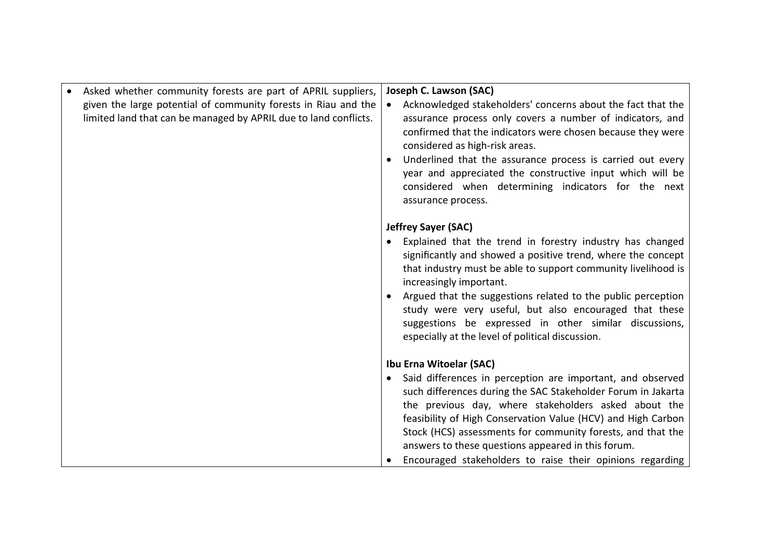| Asked whether community forests are part of APRIL suppliers,     | Joseph C. Lawson (SAC)                                                                                                 |
|------------------------------------------------------------------|------------------------------------------------------------------------------------------------------------------------|
| given the large potential of community forests in Riau and the   | Acknowledged stakeholders' concerns about the fact that the                                                            |
| limited land that can be managed by APRIL due to land conflicts. | assurance process only covers a number of indicators, and                                                              |
|                                                                  | confirmed that the indicators were chosen because they were                                                            |
|                                                                  | considered as high-risk areas.                                                                                         |
|                                                                  | Underlined that the assurance process is carried out every                                                             |
|                                                                  | year and appreciated the constructive input which will be                                                              |
|                                                                  | considered when determining indicators for the next                                                                    |
|                                                                  | assurance process.                                                                                                     |
|                                                                  |                                                                                                                        |
|                                                                  | <b>Jeffrey Sayer (SAC)</b>                                                                                             |
|                                                                  | Explained that the trend in forestry industry has changed                                                              |
|                                                                  | significantly and showed a positive trend, where the concept                                                           |
|                                                                  | that industry must be able to support community livelihood is                                                          |
|                                                                  | increasingly important.                                                                                                |
|                                                                  | Argued that the suggestions related to the public perception<br>study were very useful, but also encouraged that these |
|                                                                  | suggestions be expressed in other similar discussions,                                                                 |
|                                                                  | especially at the level of political discussion.                                                                       |
|                                                                  |                                                                                                                        |
|                                                                  | Ibu Erna Witoelar (SAC)                                                                                                |
|                                                                  | Said differences in perception are important, and observed                                                             |
|                                                                  | such differences during the SAC Stakeholder Forum in Jakarta                                                           |
|                                                                  | the previous day, where stakeholders asked about the                                                                   |
|                                                                  | feasibility of High Conservation Value (HCV) and High Carbon                                                           |
|                                                                  | Stock (HCS) assessments for community forests, and that the                                                            |
|                                                                  | answers to these questions appeared in this forum.                                                                     |
|                                                                  | Encouraged stakeholders to raise their opinions regarding                                                              |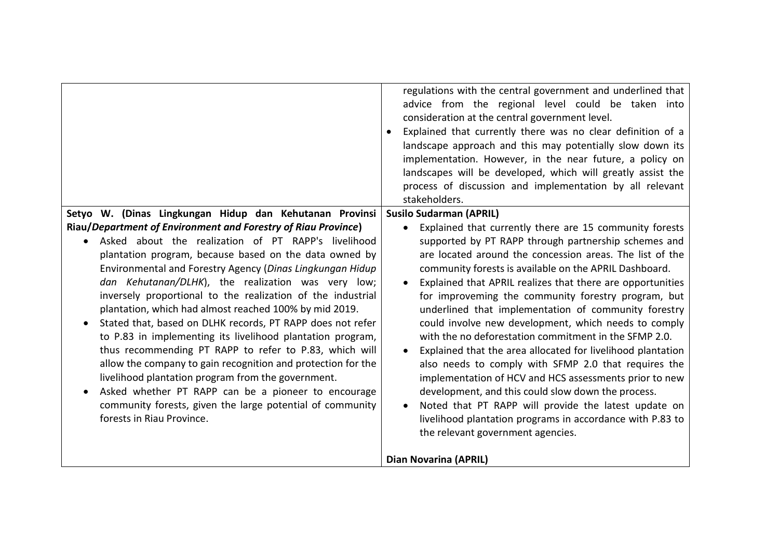|                                                                                                                                                                                                                                                                                                                                                                                                                                                                                                                                                                                                                                                                                                                                                                                                                                                                                         | regulations with the central government and underlined that<br>advice from the regional level could be taken into<br>consideration at the central government level.<br>Explained that currently there was no clear definition of a<br>landscape approach and this may potentially slow down its<br>implementation. However, in the near future, a policy on<br>landscapes will be developed, which will greatly assist the<br>process of discussion and implementation by all relevant<br>stakeholders.                                                                                                                                                                                                                                                                                                                                                                                                                              |
|-----------------------------------------------------------------------------------------------------------------------------------------------------------------------------------------------------------------------------------------------------------------------------------------------------------------------------------------------------------------------------------------------------------------------------------------------------------------------------------------------------------------------------------------------------------------------------------------------------------------------------------------------------------------------------------------------------------------------------------------------------------------------------------------------------------------------------------------------------------------------------------------|--------------------------------------------------------------------------------------------------------------------------------------------------------------------------------------------------------------------------------------------------------------------------------------------------------------------------------------------------------------------------------------------------------------------------------------------------------------------------------------------------------------------------------------------------------------------------------------------------------------------------------------------------------------------------------------------------------------------------------------------------------------------------------------------------------------------------------------------------------------------------------------------------------------------------------------|
| Setyo W. (Dinas Lingkungan Hidup dan Kehutanan Provinsi                                                                                                                                                                                                                                                                                                                                                                                                                                                                                                                                                                                                                                                                                                                                                                                                                                 | <b>Susilo Sudarman (APRIL)</b>                                                                                                                                                                                                                                                                                                                                                                                                                                                                                                                                                                                                                                                                                                                                                                                                                                                                                                       |
| Riau/Department of Environment and Forestry of Riau Province)<br>Asked about the realization of PT RAPP's livelihood<br>plantation program, because based on the data owned by<br>Environmental and Forestry Agency (Dinas Lingkungan Hidup<br>dan Kehutanan/DLHK), the realization was very low;<br>inversely proportional to the realization of the industrial<br>plantation, which had almost reached 100% by mid 2019.<br>Stated that, based on DLHK records, PT RAPP does not refer<br>to P.83 in implementing its livelihood plantation program,<br>thus recommending PT RAPP to refer to P.83, which will<br>allow the company to gain recognition and protection for the<br>livelihood plantation program from the government.<br>Asked whether PT RAPP can be a pioneer to encourage<br>community forests, given the large potential of community<br>forests in Riau Province. | Explained that currently there are 15 community forests<br>supported by PT RAPP through partnership schemes and<br>are located around the concession areas. The list of the<br>community forests is available on the APRIL Dashboard.<br>Explained that APRIL realizes that there are opportunities<br>for improveming the community forestry program, but<br>underlined that implementation of community forestry<br>could involve new development, which needs to comply<br>with the no deforestation commitment in the SFMP 2.0.<br>Explained that the area allocated for livelihood plantation<br>also needs to comply with SFMP 2.0 that requires the<br>implementation of HCV and HCS assessments prior to new<br>development, and this could slow down the process.<br>Noted that PT RAPP will provide the latest update on<br>livelihood plantation programs in accordance with P.83 to<br>the relevant government agencies. |
|                                                                                                                                                                                                                                                                                                                                                                                                                                                                                                                                                                                                                                                                                                                                                                                                                                                                                         | <b>Dian Novarina (APRIL)</b>                                                                                                                                                                                                                                                                                                                                                                                                                                                                                                                                                                                                                                                                                                                                                                                                                                                                                                         |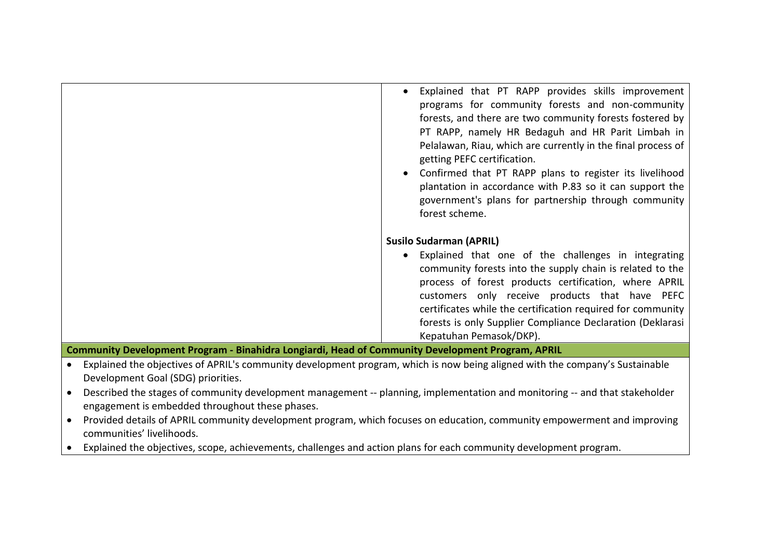| Explained that PT RAPP provides skills improvement           |
|--------------------------------------------------------------|
| programs for community forests and non-community             |
| forests, and there are two community forests fostered by     |
| PT RAPP, namely HR Bedaguh and HR Parit Limbah in            |
| Pelalawan, Riau, which are currently in the final process of |
| getting PEFC certification.                                  |
| Confirmed that PT RAPP plans to register its livelihood      |
| plantation in accordance with P.83 so it can support the     |
| government's plans for partnership through community         |
| forest scheme.                                               |
|                                                              |
| <b>Susilo Sudarman (APRIL)</b>                               |
| Explained that one of the challenges in integrating          |
| community forests into the supply chain is related to the    |
| process of forest products certification, where APRIL        |
| customers only receive products that have PEFC               |
| certificates while the certification required for community  |
| forests is only Supplier Compliance Declaration (Deklarasi   |
| Kepatuhan Pemasok/DKP).                                      |

**Community Development Program - Binahidra Longiardi, Head of Community Development Program, APRIL**

- Explained the objectives of APRIL's community development program, which is now being aligned with the company's Sustainable Development Goal (SDG) priorities.
- Described the stages of community development management -- planning, implementation and monitoring -- and that stakeholder engagement is embedded throughout these phases.
- Provided details of APRIL community development program, which focuses on education, community empowerment and improving communities' livelihoods.
- Explained the objectives, scope, achievements, challenges and action plans for each community development program.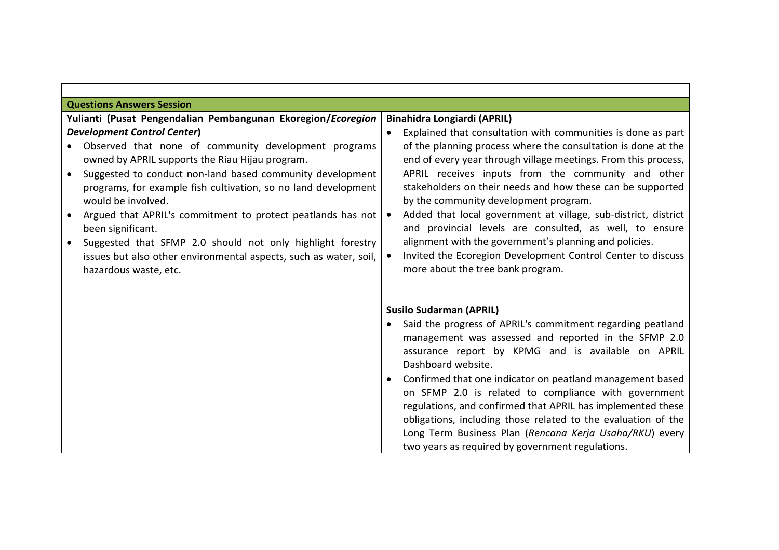| <b>Questions Answers Session</b>                                                                                                                                                                                                                                                                                                                                                                                                                                                                             |                                                                                                                                                                                                                                                                                                                                                                                                                                                                                                                                                                                                      |  |
|--------------------------------------------------------------------------------------------------------------------------------------------------------------------------------------------------------------------------------------------------------------------------------------------------------------------------------------------------------------------------------------------------------------------------------------------------------------------------------------------------------------|------------------------------------------------------------------------------------------------------------------------------------------------------------------------------------------------------------------------------------------------------------------------------------------------------------------------------------------------------------------------------------------------------------------------------------------------------------------------------------------------------------------------------------------------------------------------------------------------------|--|
| Yulianti (Pusat Pengendalian Pembangunan Ekoregion/Ecoregion                                                                                                                                                                                                                                                                                                                                                                                                                                                 | <b>Binahidra Longiardi (APRIL)</b>                                                                                                                                                                                                                                                                                                                                                                                                                                                                                                                                                                   |  |
| <b>Development Control Center)</b>                                                                                                                                                                                                                                                                                                                                                                                                                                                                           | Explained that consultation with communities is done as part                                                                                                                                                                                                                                                                                                                                                                                                                                                                                                                                         |  |
| Observed that none of community development programs<br>owned by APRIL supports the Riau Hijau program.<br>Suggested to conduct non-land based community development<br>programs, for example fish cultivation, so no land development<br>would be involved.<br>Argued that APRIL's commitment to protect peatlands has not<br>been significant.<br>Suggested that SFMP 2.0 should not only highlight forestry<br>issues but also other environmental aspects, such as water, soil,<br>hazardous waste, etc. | of the planning process where the consultation is done at the<br>end of every year through village meetings. From this process,<br>APRIL receives inputs from the community and other<br>stakeholders on their needs and how these can be supported<br>by the community development program.<br>Added that local government at village, sub-district, district<br>and provincial levels are consulted, as well, to ensure<br>alignment with the government's planning and policies.<br>Invited the Ecoregion Development Control Center to discuss<br>more about the tree bank program.              |  |
|                                                                                                                                                                                                                                                                                                                                                                                                                                                                                                              | <b>Susilo Sudarman (APRIL)</b><br>Said the progress of APRIL's commitment regarding peatland<br>management was assessed and reported in the SFMP 2.0<br>assurance report by KPMG and is available on APRIL<br>Dashboard website.<br>Confirmed that one indicator on peatland management based<br>on SFMP 2.0 is related to compliance with government<br>regulations, and confirmed that APRIL has implemented these<br>obligations, including those related to the evaluation of the<br>Long Term Business Plan (Rencana Kerja Usaha/RKU) every<br>two years as required by government regulations. |  |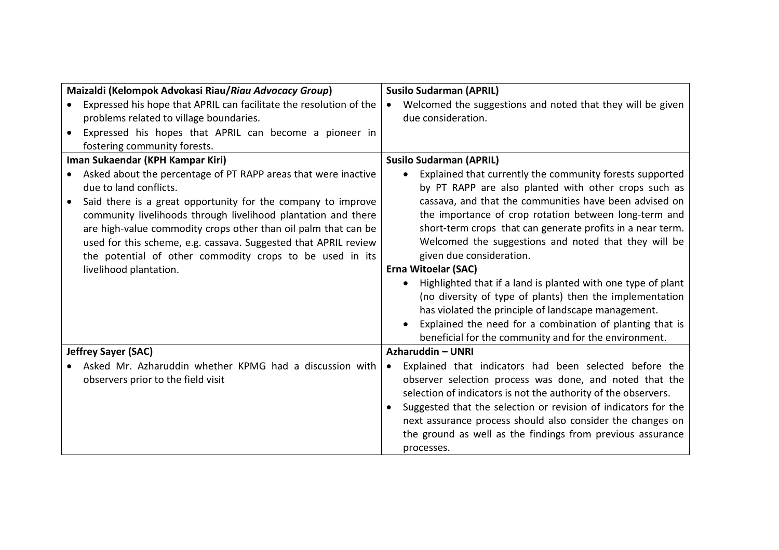| Maizaldi (Kelompok Advokasi Riau/Riau Advocacy Group) |                                                                    | <b>Susilo Sudarman (APRIL)</b>                                          |
|-------------------------------------------------------|--------------------------------------------------------------------|-------------------------------------------------------------------------|
| $\bullet$                                             | Expressed his hope that APRIL can facilitate the resolution of the | Welcomed the suggestions and noted that they will be given<br>$\bullet$ |
|                                                       | problems related to village boundaries.                            | due consideration.                                                      |
|                                                       | Expressed his hopes that APRIL can become a pioneer in             |                                                                         |
|                                                       | fostering community forests.                                       |                                                                         |
|                                                       | Iman Sukaendar (KPH Kampar Kiri)                                   | <b>Susilo Sudarman (APRIL)</b>                                          |
|                                                       | Asked about the percentage of PT RAPP areas that were inactive     | Explained that currently the community forests supported<br>$\bullet$   |
|                                                       | due to land conflicts.                                             | by PT RAPP are also planted with other crops such as                    |
|                                                       | Said there is a great opportunity for the company to improve       | cassava, and that the communities have been advised on                  |
|                                                       | community livelihoods through livelihood plantation and there      | the importance of crop rotation between long-term and                   |
|                                                       | are high-value commodity crops other than oil palm that can be     | short-term crops that can generate profits in a near term.              |
|                                                       | used for this scheme, e.g. cassava. Suggested that APRIL review    | Welcomed the suggestions and noted that they will be                    |
|                                                       | the potential of other commodity crops to be used in its           | given due consideration.                                                |
|                                                       | livelihood plantation.                                             | <b>Erna Witoelar (SAC)</b>                                              |
|                                                       |                                                                    | Highlighted that if a land is planted with one type of plant            |
|                                                       |                                                                    | (no diversity of type of plants) then the implementation                |
|                                                       |                                                                    | has violated the principle of landscape management.                     |
|                                                       |                                                                    | Explained the need for a combination of planting that is                |
|                                                       |                                                                    | beneficial for the community and for the environment.                   |
|                                                       | <b>Jeffrey Sayer (SAC)</b>                                         | Azharuddin - UNRI                                                       |
|                                                       | Asked Mr. Azharuddin whether KPMG had a discussion with            | Explained that indicators had been selected before the<br>$\bullet$     |
|                                                       | observers prior to the field visit                                 | observer selection process was done, and noted that the                 |
|                                                       |                                                                    | selection of indicators is not the authority of the observers.          |
|                                                       |                                                                    | Suggested that the selection or revision of indicators for the          |
|                                                       |                                                                    | next assurance process should also consider the changes on              |
|                                                       |                                                                    | the ground as well as the findings from previous assurance              |
|                                                       |                                                                    | processes.                                                              |